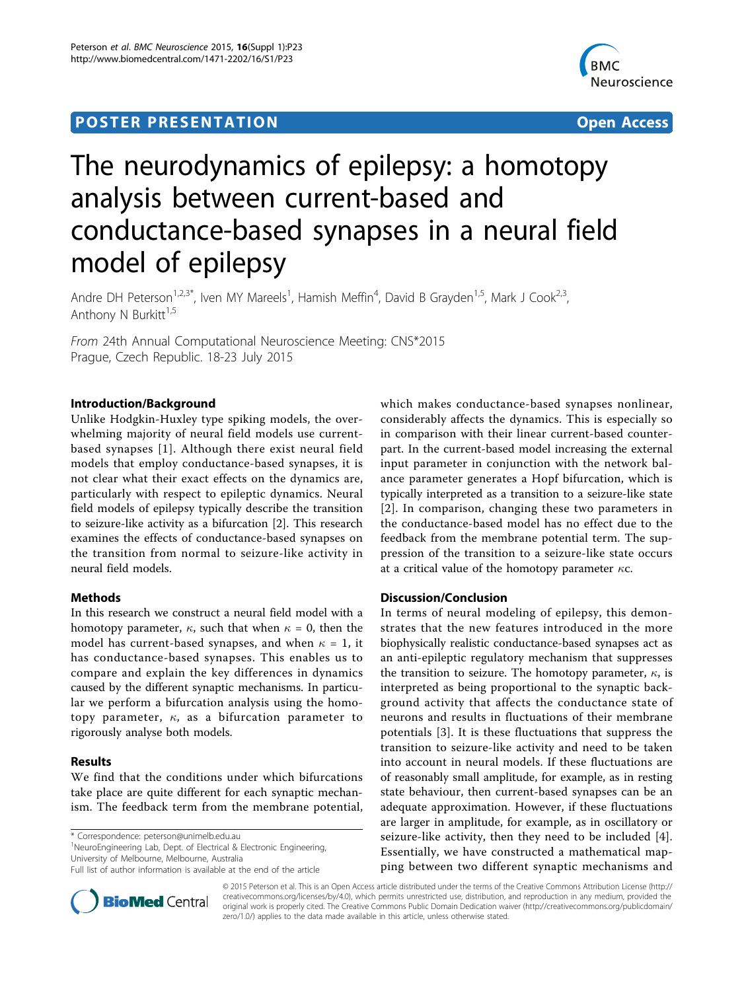# **POSTER PRESENTATION CONSUMING THE SERVICE SERVICE SERVICES**



# The neurodynamics of epilepsy: a homotopy analysis between current-based and conductance-based synapses in a neural field model of epilepsy

Andre DH Peterson<sup>1,2,3\*</sup>, Iven MY Mareels<sup>1</sup>, Hamish Meffin<sup>4</sup>, David B Grayden<sup>1,5</sup>, Mark J Cook<sup>2,3</sup>, Anthony N Burkitt $1,5$ 

From 24th Annual Computational Neuroscience Meeting: CNS\*2015 Prague, Czech Republic. 18-23 July 2015

# Introduction/Background

Unlike Hodgkin-Huxley type spiking models, the overwhelming majority of neural field models use currentbased synapses [[1](#page-1-0)]. Although there exist neural field models that employ conductance-based synapses, it is not clear what their exact effects on the dynamics are, particularly with respect to epileptic dynamics. Neural field models of epilepsy typically describe the transition to seizure-like activity as a bifurcation [\[2](#page-1-0)]. This research examines the effects of conductance-based synapses on the transition from normal to seizure-like activity in neural field models.

# Methods

In this research we construct a neural field model with a homotopy parameter,  $\kappa$ , such that when  $\kappa = 0$ , then the model has current-based synapses, and when  $\kappa = 1$ , it has conductance-based synapses. This enables us to compare and explain the key differences in dynamics caused by the different synaptic mechanisms. In particular we perform a bifurcation analysis using the homotopy parameter,  $\kappa$ , as a bifurcation parameter to rigorously analyse both models.

## Results

We find that the conditions under which bifurcations take place are quite different for each synaptic mechanism. The feedback term from the membrane potential,

\* Correspondence: [peterson@unimelb.edu.au](mailto:peterson@unimelb.edu.au)

<sup>1</sup>NeuroEngineering Lab, Dept. of Electrical & Electronic Engineering, University of Melbourne, Melbourne, Australia

Full list of author information is available at the end of the article



which makes conductance-based synapses nonlinear, considerably affects the dynamics. This is especially so in comparison with their linear current-based counterpart. In the current-based model increasing the external input parameter in conjunction with the network balance parameter generates a Hopf bifurcation, which is typically interpreted as a transition to a seizure-like state [[2](#page-1-0)]. In comparison, changing these two parameters in the conductance-based model has no effect due to the feedback from the membrane potential term. The suppression of the transition to a seizure-like state occurs at a critical value of the homotopy parameter  $\kappa c$ .

# Discussion/Conclusion

In terms of neural modeling of epilepsy, this demonstrates that the new features introduced in the more biophysically realistic conductance-based synapses act as an anti-epileptic regulatory mechanism that suppresses the transition to seizure. The homotopy parameter,  $\kappa$ , is interpreted as being proportional to the synaptic background activity that affects the conductance state of neurons and results in fluctuations of their membrane potentials [[3\]](#page-1-0). It is these fluctuations that suppress the transition to seizure-like activity and need to be taken into account in neural models. If these fluctuations are of reasonably small amplitude, for example, as in resting state behaviour, then current-based synapses can be an adequate approximation. However, if these fluctuations are larger in amplitude, for example, as in oscillatory or seizure-like activity, then they need to be included [[4](#page-1-0)]. Essentially, we have constructed a mathematical mapping between two different synaptic mechanisms and

© 2015 Peterson et al. This is an Open Access article distributed under the terms of the Creative Commons Attribution License [\(http://](http://creativecommons.org/licenses/by/4.0) [creativecommons.org/licenses/by/4.0](http://creativecommons.org/licenses/by/4.0)), which permits unrestricted use, distribution, and reproduction in any medium, provided the original work is properly cited. The Creative Commons Public Domain Dedication waiver ([http://creativecommons.org/publicdomain/](http://creativecommons.org/publicdomain/zero/1.0/) [zero/1.0/](http://creativecommons.org/publicdomain/zero/1.0/)) applies to the data made available in this article, unless otherwise stated.